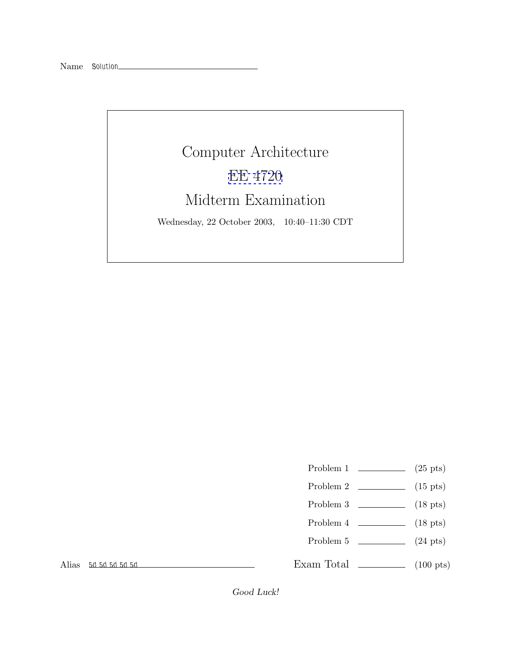

- Problem 1  $\qquad \qquad (25 \text{ pts})$
- Problem 2 (15 pts)
- Problem 3 (18 pts)
- Problem 4 (18 pts)
- Problem  $5 \t\t(24 \text{ pts})$

Alias *5d 5d 5d 5d 5d*

Exam Total  $\qquad \qquad$  (100 pts)

*Good Luck!*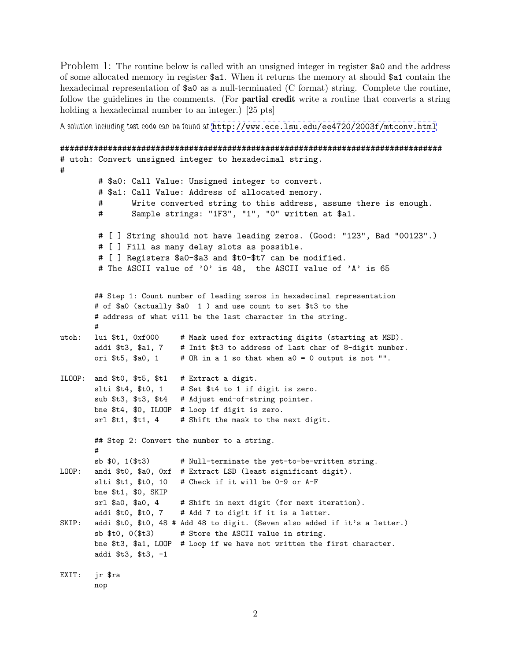Problem 1: The routine below is called with an unsigned integer in register \$50 and the address of some allocated memory in register \$a1. When it returns the memory at should \$a1 contain the hexadecimal representation of  $a_0$  as a null-terminated (C format) string. Complete the routine, follow the guidelines in the comments. (For **partial credit** write a routine that converts a string holding a hexadecimal number to an integer.) [25 pts]

*A solution including test code can be found at* <http://www.ece.lsu.edu/ee4720/2003f/mtconv.html>

```
################################################################################
# utoh: Convert unsigned integer to hexadecimal string.
#
        # $a0: Call Value: Unsigned integer to convert.
        # $a1: Call Value: Address of allocated memory.
        # Write converted string to this address, assume there is enough.
        # Sample strings: "1F3", "1", "0" written at $a1.
        # [ ] String should not have leading zeros. (Good: "123", Bad "00123".)
        # [ ] Fill as many delay slots as possible.
        # [ ] Registers $a0-$a3 and $t0-$t7 can be modified.
        # The ASCII value of '0' is 48, the ASCII value of 'A' is 65
       ## Step 1: Count number of leading zeros in hexadecimal representation
       # of $a0 (actually $a0 1 ) and use count to set $t3 to the
       # address of what will be the last character in the string.
       #
utoh: lui $t1, 0xf000 # Mask used for extracting digits (starting at MSD).
       addi $t3, $a1, 7 # Init $t3 to address of last char of 8-digit number.
       ori t_5, t_6, 1 # OR in a 1 so that when a0 = 0 output is not "".
ILOOP: and $t0, $t5, $t1 # Extract a digit.
       slti t_4, t_0, 1 # Set t_4 to 1 if digit is zero.
       sub $t3, $t3, $t4 # Adjust end-of-string pointer.
       bne $t4, $0, ILOOP # Loop if digit is zero.
       srl $t1, $t1, 4 # Shift the mask to the next digit.
       ## Step 2: Convert the number to a string.
       #
       sb $0, 1($t3) # Null-terminate the yet-to-be-written string.
LOOP: andi $t0, $a0, 0xf # Extract LSD (least significant digit).
       slti $t1, $t0, 10 # Check if it will be 0-9 or A-F
       bne $t1, $0, SKIP
       srl $a0, $a0, 4 # Shift in next digit (for next iteration).
       addi $t0, $t0, 7 # Add 7 to digit if it is a letter.
SKIP: addi $t0, $t0, 48 # Add 48 to digit. (Seven also added if it's a letter.)
       sb $t0, 0($t3) # Store the ASCII value in string.
       bne $t3, $a1, LOOP # Loop if we have not written the first character.
       addi $t3, $t3, -1
EXIT: jr $ra
```

```
nop
```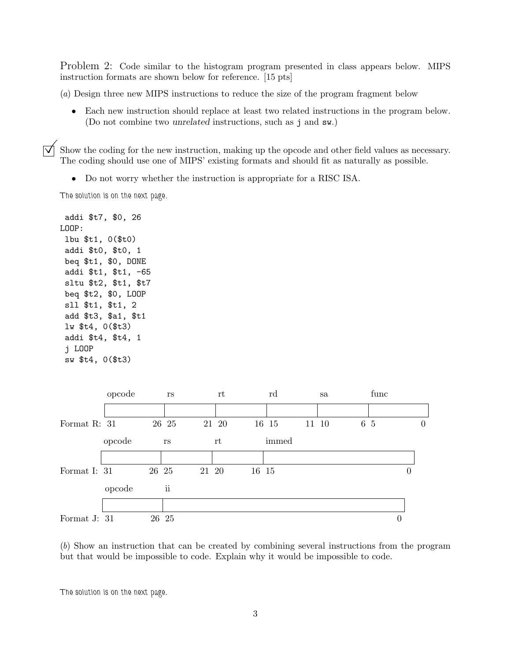Problem 2: Code similar to the histogram program presented in class appears below. MIPS instruction formats are shown below for reference. [15 pts]

(a) Design three new MIPS instructions to reduce the size of the program fragment below

• Each new instruction should replace at least two related instructions in the program below. (Do not combine two *unrelated* instructions, such as j and sw.)

 $\overline{y}$  Show the coding for the new instruction, making up the opcode and other field values as necessary.<br>The coding should use one of MIPS' existing formats and should fit as naturally as possible.

• Do not worry whether the instruction is appropriate for a RISC ISA.

*The solution is on the next page.*

addi \$t7, \$0, 26 LOOP: lbu \$t1, 0(\$t0) addi \$t0, \$t0, 1 beq \$t1, \$0, DONE addi \$t1, \$t1, -65 sltu \$t2, \$t1, \$t7 beq \$t2, \$0, LOOP sll \$t1, \$t1, 2 add \$t3, \$a1, \$t1 lw \$t4, 0(\$t3) addi \$t4, \$t4, 1 j LOOP sw \$t4, 0(\$t3)



(b) Show an instruction that can be created by combining several instructions from the program but that would be impossible to code. Explain why it would be impossible to code.

*The solution is on the next page.*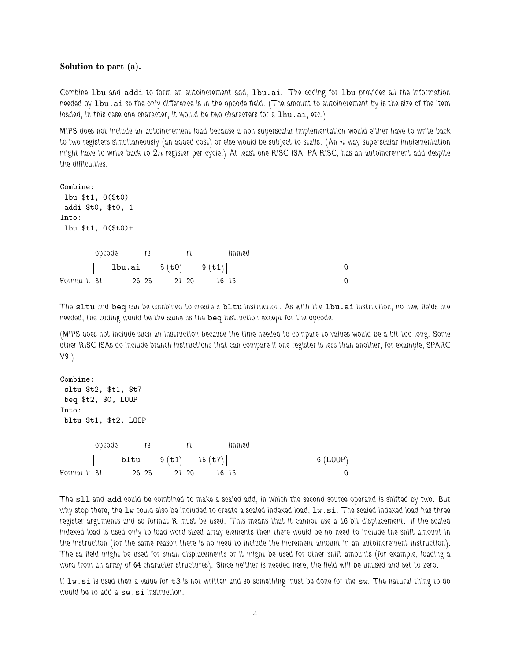## **Solution to part (a).**

*Combine* lbu *and* addi *to form an autoincrement add,* lbu.ai*. The coding for* lbu *provides all the information needed by* lbu.ai *so the only difference is in the opcode field. (The amount to autoincrement by is the size of the item loaded, in this case one character, it would be two characters for a lhu.ai, etc.)* 

*MIPS does not include an autoincrement load because a non-superscalar implementation would either have to write back* to two registers simultaneously (an added cost) or else would be subject to stalls. (An *n*-way superscalar implementation *might have to write back to* 2n *register per cycle.) At least one RISC ISA, PA-RISC, has an autoincrement add despite the difficulties.*

Combine: lbu \$t1, 0(\$t0) addi \$t0, \$t0, 1 Into: lbu \$t1, 0(\$t0)+ *Format I: opcode* lbu.ai *31 26 rs 8 (*t0*) 25 21 rt 9 (*t1*) 20 16 immed 0 15 0*

*The* sltu *and* beq *can be combined to create a* bltu *instruction. As with the* lbu.ai *instruction, no new fields are needed, the coding would be the same as the* beq *instruction except for the opcode.*

*(MIPS does not include such an instruction because the time needed to compare to values would be a bit too long. Some other RISC ISAs do include branch instructions that can compare if one register is less than another, for example, SPARC V9.)*

```
Combine:
sltu $t2, $t1, $t7
beq $t2, $0, LOOP
Into:
bltu $t1, $t2, LOOP
Format I:
       opcode
             bltu
                31 26
                  rs
                      9 (t1)
                         25 21
                            rt
                              15 (t7)
                                  20 16
                                     immed
                                                        -6 (LOOP)
                                     15 0
```
*The* sll *and* add *could be combined to make a scaled add, in which the second source operand is shifted by two. But why stop there, the* lw *could also be included to create a scaled indexed load,* lw.si*. The scaled indexed load has three register arguments and so format R must be used. This means that it cannot use a 16-bit displacement. If the scaled indexed load is used only to load word-sized array elements then there would be no need to include the shift amount in the instruction (for the same reason there is no need to include the increment amount in an autoincrement instruction). The sa field might be used for small displacements or it might be used for other shift amounts (for example, loading a word from an array of 64-character structures). Since neither is needed here, the field will be unused and set to zero.*

*If* lw.si *is used then a value for* t3 *is not written and so something must be done for the* sw*. The natural thing to do would be to add a* sw.si *instruction.*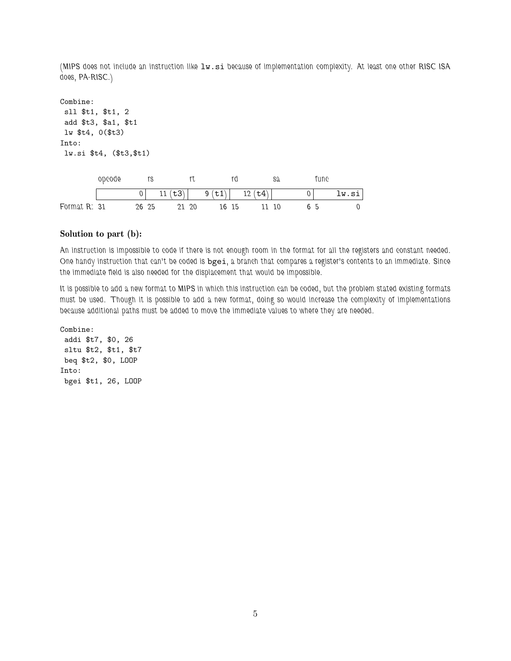*(MIPS does not include an instruction like* lw.si *because of implementation complexity. At least one other RISC ISA does, PA-RISC.)*

Combine: sll \$t1, \$t1, 2 add \$t3, \$a1, \$t1 lw \$t4, 0(\$t3) Into: lw.si \$t4, (\$t3,\$t1)

|              | opcode |       |        |      |       |                     | sa | une* |       |
|--------------|--------|-------|--------|------|-------|---------------------|----|------|-------|
|              |        |       | 11(t3) |      | 9(t1) | $\mathsf{t4}$<br>12 |    |      | lw.si |
| Format R: 31 |        | 26 25 |        | - 20 | 16 15 |                     | 10 | 65   |       |

## **Solution to part (b):**

*An instruction is impossible to code if there is not enough room in the format for all the registers and constant needed. One handy instruction that can't be coded is* bgei*, a branch that compares a register's contents to an immediate. Since the immediate field is also needed for the displacement that would be impossible.*

*It is possible to add a new format to MIPS in which this instruction can be coded, but the problem stated existing formats must be used. Though it is possible to add a new format, doing so would increase the complexity of implementations because additional paths must be added to move the immediate values to where they are needed.*

Combine: addi \$t7, \$0, 26 sltu \$t2, \$t1, \$t7 beq \$t2, \$0, LOOP Into: bgei \$t1, 26, LOOP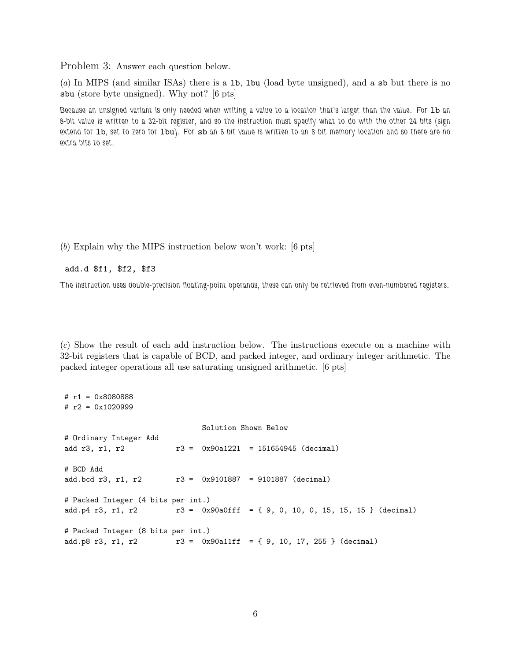Problem 3: Answer each question below.

(a) In MIPS (and similar ISAs) there is a lb, lbu (load byte unsigned), and a sb but there is no sbu (store byte unsigned). Why not? [6 pts]

*Because an unsigned variant is only needed when writing a value to a location that's larger than the value. For* lb *an 8-bit value is written to a 32-bit register, and so the instruction must specify what to do with the other 24 bits (sign extend for* lb*, set to zero for* lbu*). For* sb *an 8-bit value is written to an 8-bit memory location and so there are no extra bits to set.*

(b) Explain why the MIPS instruction below won't work: [6 pts]

## add.d \$f1, \$f2, \$f3

*The instruction uses double-precision floating-point operands, these can only be retrieved from even-numbered registers.*

(c) Show the result of each add instruction below. The instructions execute on a machine with 32-bit registers that is capable of BCD, and packed integer, and ordinary integer arithmetic. The packed integer operations all use saturating unsigned arithmetic. [6 pts]

```
# r1 = 0x8080888
# r2 = 0x1020999
                             Solution Shown Below
# Ordinary Integer Add
add r3, r1, r2 r3 = 0x90a1221 = 151654945 (decimal)
# BCD Add
add.bcd r3, r1, r2 r3 = 0x9101887 = 9101887 (decimal)
# Packed Integer (4 bits per int.)
add.p4 r3, r1, r2 r3 = 0x90a0ff = \{ 9, 0, 10, 0, 15, 15, 15 \} (decimal)
# Packed Integer (8 bits per int.)
add.p8 r3, r1, r2 r3 = 0x90a11ff = { 9, 10, 17, 255 } (decimal)
```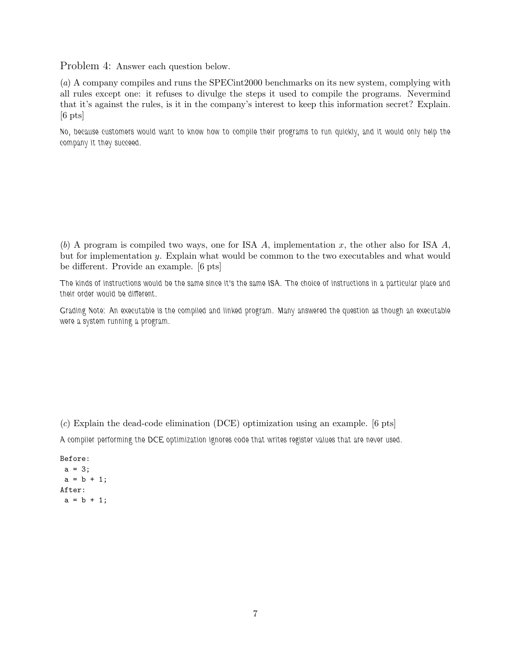Problem 4: Answer each question below.

(a) A company compiles and runs the SPECint2000 benchmarks on its new system, complying with all rules except one: it refuses to divulge the steps it used to compile the programs. Nevermind that it's against the rules, is it in the company's interest to keep this information secret? Explain.  $[6 \text{ pts}]$ 

*No, because customers would want to know how to compile their programs to run quickly, and it would only help the company it they succeed.*

(b) A program is compiled two ways, one for ISA A, implementation x, the other also for ISA  $A$ , but for implementation y. Explain what would be common to the two executables and what would be different. Provide an example. [6 pts]

*The kinds of instructions would be the same since it's the same ISA. The choice of instructions in a particular place and their order would be different.*

*Grading Note: An executable is the compiled and linked program. Many answered the question as though an executable were a system running a program.*

(c) Explain the dead-code elimination (DCE) optimization using an example. [6 pts] *A compiler performing the DCE optimization ignores code that writes register values that are never used.*

```
Before:
a = 3;a = b + 1;
After:
a = b + 1;
```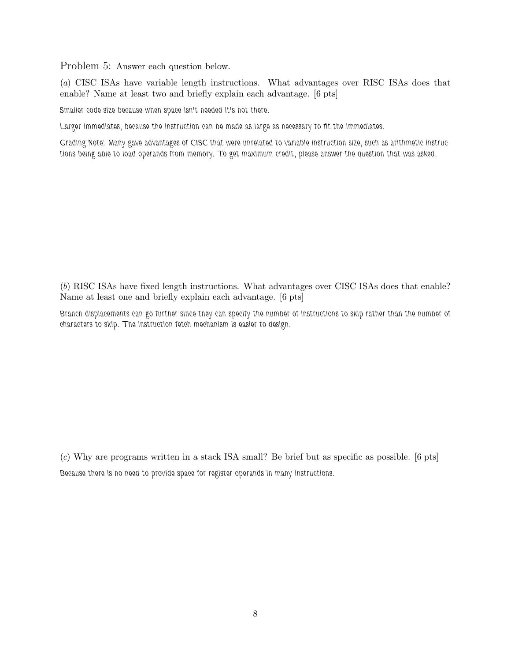Problem 5: Answer each question below.

(a) CISC ISAs have variable length instructions. What advantages over RISC ISAs does that enable? Name at least two and briefly explain each advantage. [6 pts]

*Smaller code size because when space isn't needed it's not there.*

*Larger immediates, because the instruction can be made as large as necessary to fit the immediates.*

*Grading Note: Many gave advantages of CISC that were unrelated to variable instruction size, such as arithmetic instructions being able to load operands from memory. To get maximum credit, please answer the question that was asked.*

(b) RISC ISAs have fixed length instructions. What advantages over CISC ISAs does that enable? Name at least one and briefly explain each advantage. [6 pts]

*Branch displacements can go further since they can specify the number of instructions to skip rather than the number of characters to skip. The instruction fetch mechanism is easier to design.*

(c) Why are programs written in a stack ISA small? Be brief but as specific as possible. [6 pts] *Because there is no need to provide space for register operands in many instructions.*